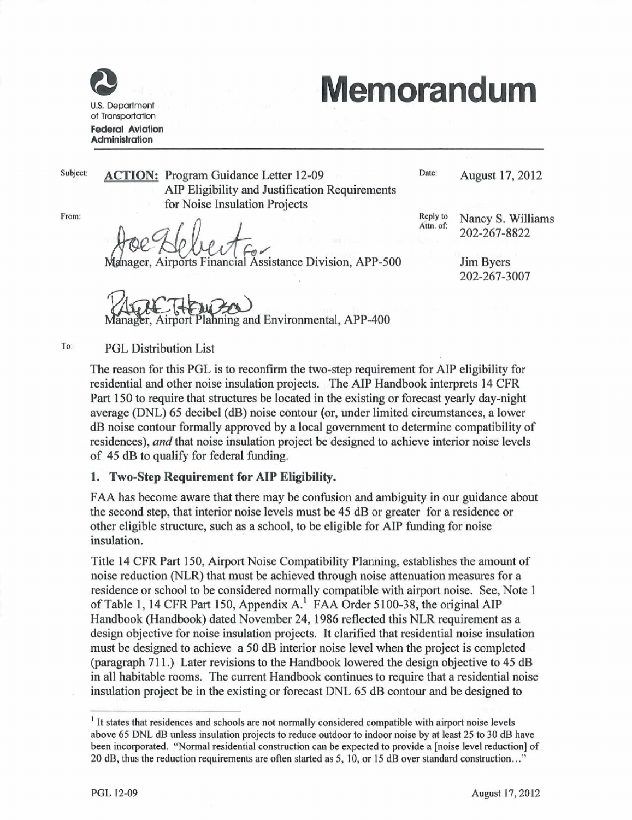

U.S. Deportment of Transportation Federal Aviation Administration

# **Memorandum Memorandum**

Subject:

**ACTION:** Program Guidance Letter 12-09 Date: **Date: August 17, 2012** AlP **AIP** Eligibility **Eligibilityand** and **Justification** Justification **Requirements** Requirements **for** Noise Insulation Projects

**From:** From:

for Noise Insulation Projects<br>And Cole of Contract Contract Cole Manager, Airports Financial Assistance

**ger, Airports Financial Assistance Division, APP-500** Jim

Reply **Y~,Y:** to **Nancy** Nancy S. **S.** Williams Attn. of: **202-267-8822** 202~267~8822

**Jim Byers** 202-207-3007

Planning and Environmental, APP-400

**TO:** To: **PGL** PGL **Distribution** Distribution List **List**

> The reason for this PGL is to reconfirm the two-step requirement for AIP eligibility for residential and other noise insulation projects. The AIP Handbook interprets 14 CFR Part 150 to require that structures be located in the existing or forecast vearly day-night average (DNL) 65 decibel (dB) noise contour (or, under limited circumstances, a lower dB noise contour formally approved by a local government to determine compatibility of residences), and that noise insulation project be designed to achieve interior noise levels of **of 45**45 **dB**dB to **to** qualify **qualify** for **for federal** federal funding **funding.** .

## 1. **1.** Two-Step **Two-step** Requirement **Requirement** for **for** AlP **AIP** Eligibility.

FAA has become aware that there may be confusion and ambiguity in our guidance about the second step, that interior noise levels must be 45 dB or greater for a residence or other eligible structure, such as a school, to be eligible for AIP funding for noise insulation. **insulation.**

Title 14 CFR Part 150, Airport Noise Compatibility Planning, establishes the amount of noise reduction (NLR) that must be achieved through noise attenuation measures for a<br>residence or school to be considered normally compatible with airport noise. See, Note 1 residence or school to be considered normally compatible with airport noise. See, Note 1 of Table 1, 14 CFR Part 150, Appendix A.<sup>1</sup> FAA Order 5100-38, the original AIP Handbook (Handbook) dated November 24, 1986 reflected this NLR requirement as a design objective for noise insulation projects. It clarified that residential noise insulation must be designed to achieve a 50 dB interior noise level when the project is completed (paragraph 711.) Later revisions to the Handbook lowered the design objective to 45 dB in all habitable rooms. The current Handbook continues to require that a residential noise insulation project be in the existing or forecast DNL 65 dB contour and be designed to

<sup>&</sup>lt;sup>1</sup> It states that residences and schools are not normally considered compatible with airport noise levels above 65 DNL dB unless insulation projects to reduce outdoor to indoor noise by at least 25 to 30 dB have been incorporated. "Normal residential construction can be expected to provide a [noise level reduction] of 20 dB, thus the reduction requirements are often started as 5, 10, or 15 dB over standard construction..."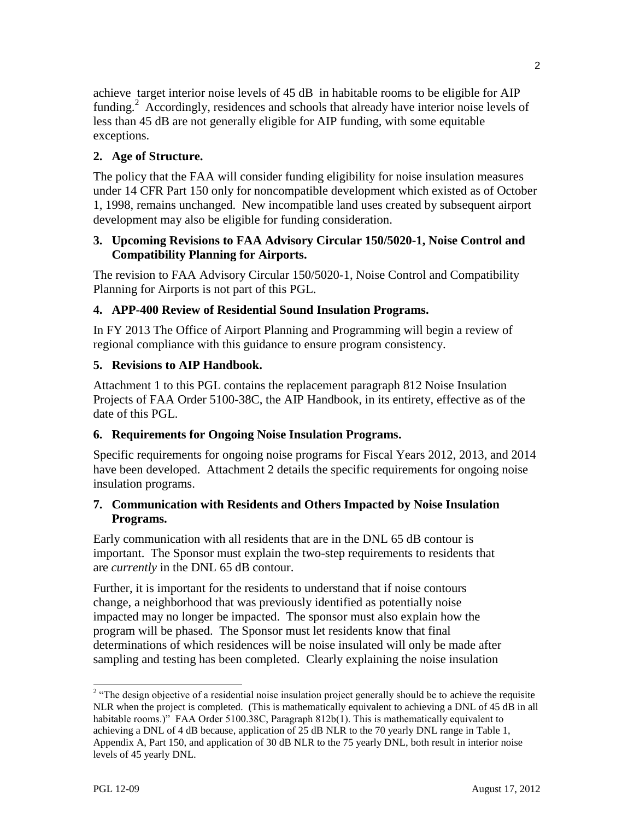achieve target interior noise levels of 45 dB in habitable rooms to be eligible for AIP funding.<sup>2</sup> Accordingly, residences and schools that already have interior noise levels of less than 45 dB are not generally eligible for AIP funding, with some equitable exceptions.

# **2. Age of Structure.**

The policy that the FAA will consider funding eligibility for noise insulation measures under 14 CFR Part 150 only for noncompatible development which existed as of October 1, 1998, remains unchanged. New incompatible land uses created by subsequent airport development may also be eligible for funding consideration.

#### **3. Upcoming Revisions to FAA Advisory Circular 150/5020-1, Noise Control and Compatibility Planning for Airports.**

The revision to FAA Advisory Circular 150/5020-1, Noise Control and Compatibility Planning for Airports is not part of this PGL.

## **4. APP-400 Review of Residential Sound Insulation Programs.**

In FY 2013 The Office of Airport Planning and Programming will begin a review of regional compliance with this guidance to ensure program consistency.

## **5. Revisions to AIP Handbook.**

Attachment 1 to this PGL contains the replacement paragraph 812 Noise Insulation Projects of FAA Order 5100-38C, the AIP Handbook, in its entirety, effective as of the date of this PGL.

## **6. Requirements for Ongoing Noise Insulation Programs.**

Specific requirements for ongoing noise programs for Fiscal Years 2012, 2013, and 2014 have been developed. Attachment 2 details the specific requirements for ongoing noise insulation programs.

#### **7. Communication with Residents and Others Impacted by Noise Insulation Programs.**

Early communication with all residents that are in the DNL 65 dB contour is important. The Sponsor must explain the two-step requirements to residents that are *currently* in the DNL 65 dB contour.

Further, it is important for the residents to understand that if noise contours change, a neighborhood that was previously identified as potentially noise impacted may no longer be impacted. The sponsor must also explain how the program will be phased. The Sponsor must let residents know that final determinations of which residences will be noise insulated will only be made after sampling and testing has been completed. Clearly explaining the noise insulation

<sup>&</sup>lt;sup>2</sup> "The design objective of a residential noise insulation project generally should be to achieve the requisite NLR when the project is completed. (This is mathematically equivalent to achieving a DNL of 45 dB in all habitable rooms.)" FAA Order 5100.38C, Paragraph 812b(1). This is mathematically equivalent to achieving a DNL of 4 dB because, application of 25 dB NLR to the 70 yearly DNL range in Table 1, Appendix A, Part 150, and application of 30 dB NLR to the 75 yearly DNL, both result in interior noise levels of 45 yearly DNL.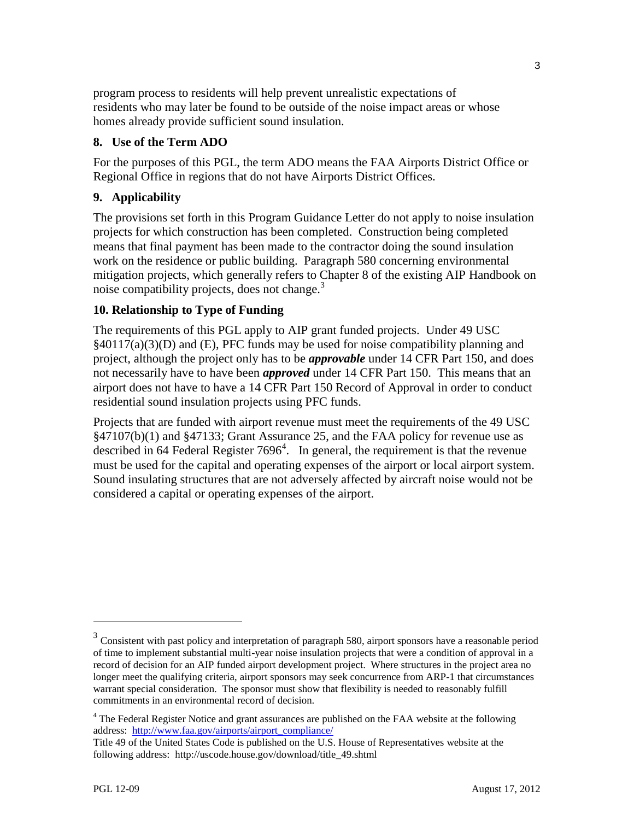program process to residents will help prevent unrealistic expectations of residents who may later be found to be outside of the noise impact areas or whose homes already provide sufficient sound insulation.

#### **8. Use of the Term ADO**

For the purposes of this PGL, the term ADO means the FAA Airports District Office or Regional Office in regions that do not have Airports District Offices.

#### **9. Applicability**

The provisions set forth in this Program Guidance Letter do not apply to noise insulation projects for which construction has been completed. Construction being completed means that final payment has been made to the contractor doing the sound insulation work on the residence or public building. Paragraph 580 concerning environmental mitigation projects, which generally refers to Chapter 8 of the existing AIP Handbook on noise compatibility projects, does not change.<sup>3</sup>

#### **10. Relationship to Type of Funding**

The requirements of this PGL apply to AIP grant funded projects. Under 49 USC §40117(a)(3)(D) and (E), PFC funds may be used for noise compatibility planning and project, although the project only has to be *approvable* under 14 CFR Part 150, and does not necessarily have to have been *approved* under 14 CFR Part 150. This means that an airport does not have to have a 14 CFR Part 150 Record of Approval in order to conduct residential sound insulation projects using PFC funds.

Projects that are funded with airport revenue must meet the requirements of the 49 USC §47107(b)(1) and §47133; Grant Assurance 25, and the FAA policy for revenue use as described in 64 Federal Register  $7696<sup>4</sup>$ . In general, the requirement is that the revenue must be used for the capital and operating expenses of the airport or local airport system. Sound insulating structures that are not adversely affected by aircraft noise would not be considered a capital or operating expenses of the airport.

 $\overline{\phantom{a}}$ 

 $3$  Consistent with past policy and interpretation of paragraph 580, airport sponsors have a reasonable period of time to implement substantial multi-year noise insulation projects that were a condition of approval in a record of decision for an AIP funded airport development project. Where structures in the project area no longer meet the qualifying criteria, airport sponsors may seek concurrence from ARP-1 that circumstances warrant special consideration. The sponsor must show that flexibility is needed to reasonably fulfill commitments in an environmental record of decision.

<sup>&</sup>lt;sup>4</sup> The Federal Register Notice and grant assurances are published on the FAA website at the following address: [http://www.faa.gov/airports/airport\\_compliance/](http://www.faa.gov/airports/airport_compliance/)

Title 49 of the United States Code is published on the U.S. House of Representatives website at the following address: http://uscode.house.gov/download/title\_49.shtml